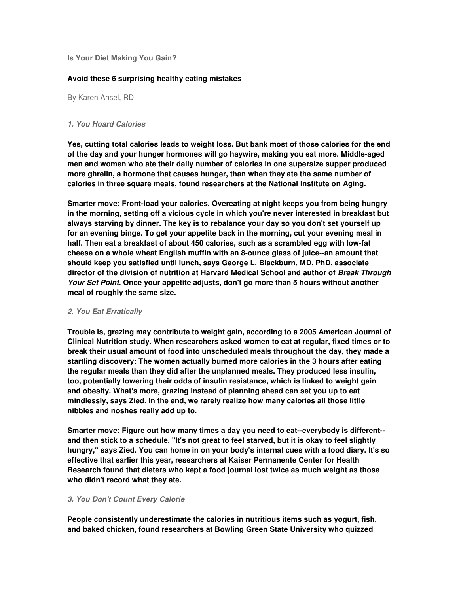**Is Your Diet Making You Gain?** 

# **Avoid these 6 surprising healthy eating mistakes**

By Karen Ansel, RD

#### **1. You Hoard Calories**

**Yes, cutting total calories leads to weight loss. But bank most of those calories for the end of the day and your hunger hormones will go haywire, making you eat more. Middle-aged men and women who ate their daily number of calories in one supersize supper produced more ghrelin, a hormone that causes hunger, than when they ate the same number of calories in three square meals, found researchers at the National Institute on Aging.** 

**Smarter move: Front-load your calories. Overeating at night keeps you from being hungry in the morning, setting off a vicious cycle in which you're never interested in breakfast but always starving by dinner. The key is to rebalance your day so you don't set yourself up for an evening binge. To get your appetite back in the morning, cut your evening meal in half. Then eat a breakfast of about 450 calories, such as a scrambled egg with low-fat cheese on a whole wheat English muffin with an 8-ounce glass of juice--an amount that should keep you satisfied until lunch, says George L. Blackburn, MD, PhD, associate director of the division of nutrition at Harvard Medical School and author of Break Through Your Set Point. Once your appetite adjusts, don't go more than 5 hours without another meal of roughly the same size.** 

#### **2. You Eat Erratically**

**Trouble is, grazing may contribute to weight gain, according to a 2005 American Journal of Clinical Nutrition study. When researchers asked women to eat at regular, fixed times or to break their usual amount of food into unscheduled meals throughout the day, they made a startling discovery: The women actually burned more calories in the 3 hours after eating the regular meals than they did after the unplanned meals. They produced less insulin, too, potentially lowering their odds of insulin resistance, which is linked to weight gain and obesity. What's more, grazing instead of planning ahead can set you up to eat mindlessly, says Zied. In the end, we rarely realize how many calories all those little nibbles and noshes really add up to.** 

**Smarter move: Figure out how many times a day you need to eat--everybody is different- and then stick to a schedule. "It's not great to feel starved, but it is okay to feel slightly hungry," says Zied. You can home in on your body's internal cues with a food diary. It's so effective that earlier this year, researchers at Kaiser Permanente Center for Health Research found that dieters who kept a food journal lost twice as much weight as those who didn't record what they ate.** 

# **3. You Don't Count Every Calorie**

**People consistently underestimate the calories in nutritious items such as yogurt, fish, and baked chicken, found researchers at Bowling Green State University who quizzed**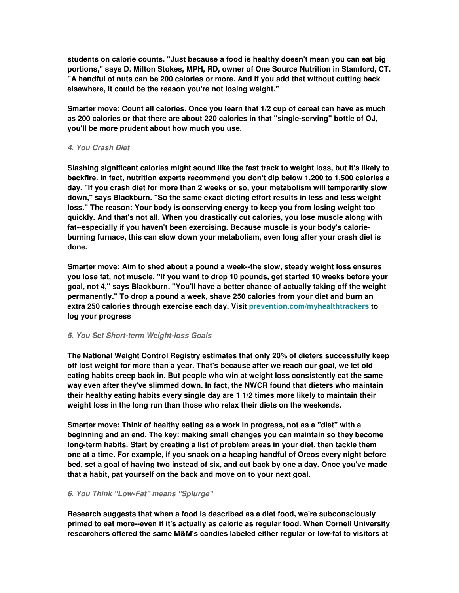**students on calorie counts. "Just because a food is healthy doesn't mean you can eat big portions," says D. Milton Stokes, MPH, RD, owner of One Source Nutrition in Stamford, CT. "A handful of nuts can be 200 calories or more. And if you add that without cutting back elsewhere, it could be the reason you're not losing weight."** 

**Smarter move: Count all calories. Once you learn that 1/2 cup of cereal can have as much as 200 calories or that there are about 220 calories in that "single-serving" bottle of OJ, you'll be more prudent about how much you use.** 

#### **4. You Crash Diet**

**Slashing significant calories might sound like the fast track to weight loss, but it's likely to backfire. In fact, nutrition experts recommend you don't dip below 1,200 to 1,500 calories a day. "If you crash diet for more than 2 weeks or so, your metabolism will temporarily slow down," says Blackburn. "So the same exact dieting effort results in less and less weight loss." The reason: Your body is conserving energy to keep you from losing weight too quickly. And that's not all. When you drastically cut calories, you lose muscle along with fat--especially if you haven't been exercising. Because muscle is your body's calorieburning furnace, this can slow down your metabolism, even long after your crash diet is done.** 

**Smarter move: Aim to shed about a pound a week--the slow, steady weight loss ensures you lose fat, not muscle. "If you want to drop 10 pounds, get started 10 weeks before your goal, not 4," says Blackburn. "You'll have a better chance of actually taking off the weight permanently." To drop a pound a week, shave 250 calories from your diet and burn an extra 250 calories through exercise each day. Visit prevention.com/myhealthtrackers to log your progress** 

# **5. You Set Short-term Weight-loss Goals**

**The National Weight Control Registry estimates that only 20% of dieters successfully keep off lost weight for more than a year. That's because after we reach our goal, we let old eating habits creep back in. But people who win at weight loss consistently eat the same way even after they've slimmed down. In fact, the NWCR found that dieters who maintain their healthy eating habits every single day are 1 1/2 times more likely to maintain their weight loss in the long run than those who relax their diets on the weekends.** 

**Smarter move: Think of healthy eating as a work in progress, not as a "diet" with a beginning and an end. The key: making small changes you can maintain so they become long-term habits. Start by creating a list of problem areas in your diet, then tackle them one at a time. For example, if you snack on a heaping handful of Oreos every night before bed, set a goal of having two instead of six, and cut back by one a day. Once you've made that a habit, pat yourself on the back and move on to your next goal.** 

# **6. You Think "Low-Fat" means "Splurge"**

**Research suggests that when a food is described as a diet food, we're subconsciously primed to eat more--even if it's actually as caloric as regular food. When Cornell University researchers offered the same M&M's candies labeled either regular or low-fat to visitors at**